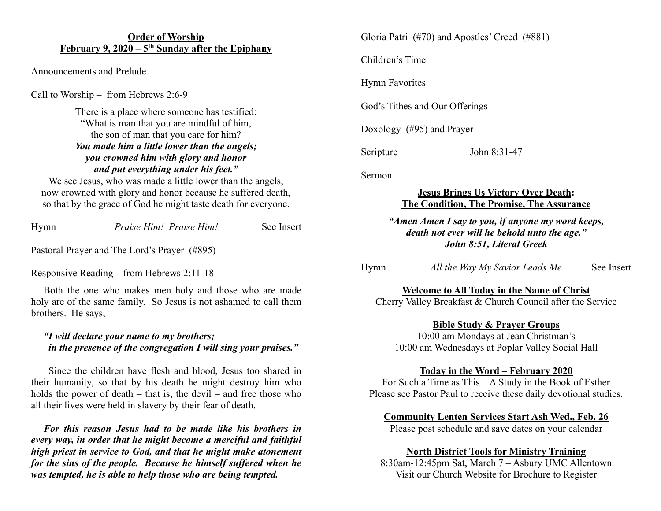#### **Order of Worship February 9, 2020 – 5th Sunday after the Epiphany**

Announcements and Prelude

Call to Worship – from Hebrews 2:6-9

There is a place where someone has testified: "What is man that you are mindful of him, the son of man that you care for him? *You made him a little lower than the angels; you crowned him with glory and honor and put everything under his feet."*

We see Jesus, who was made a little lower than the angels, now crowned with glory and honor because he suffered death, so that by the grace of God he might taste death for everyone.

| Hymn | Praise Him! Praise Him! | See Insert |
|------|-------------------------|------------|
|      |                         |            |

Pastoral Prayer and The Lord's Prayer (#895)

Responsive Reading – from Hebrews 2:11-18

 Both the one who makes men holy and those who are made holy are of the same family. So Jesus is not ashamed to call them brothers. He says,

### *"I will declare your name to my brothers; in the presence of the congregation I will sing your praises."*

 Since the children have flesh and blood, Jesus too shared in their humanity, so that by his death he might destroy him who holds the power of death  $-$  that is, the devil  $-$  and free those who all their lives were held in slavery by their fear of death.

 *For this reason Jesus had to be made like his brothers in every way, in order that he might become a merciful and faithful high priest in service to God, and that he might make atonement for the sins of the people. Because he himself suffered when he was tempted, he is able to help those who are being tempted.*

Gloria Patri (#70) and Apostles' Creed (#881)

Children's Time

Hymn Favorites

God's Tithes and Our Offerings

Doxology (#95) and Prayer

Scripture John 8:31-47

Sermon

### **Jesus Brings Us Victory Over Death: The Condition, The Promise, The Assurance**

#### *"Amen Amen I say to you, if anyone my word keeps, death not ever will he behold unto the age." John 8:51, Literal Greek*

| Hymn |  | All the Way My Savior Leads Me | See Insert |
|------|--|--------------------------------|------------|
|      |  |                                |            |

**Welcome to All Today in the Name of Christ**

Cherry Valley Breakfast & Church Council after the Service

# **Bible Study & Prayer Groups**

10:00 am Mondays at Jean Christman's 10:00 am Wednesdays at Poplar Valley Social Hall

### **Today in the Word – February 2020**

For Such a Time as This – A Study in the Book of Esther Please see Pastor Paul to receive these daily devotional studies.

# **Community Lenten Services Start Ash Wed., Feb. 26**

Please post schedule and save dates on your calendar

### **North District Tools for Ministry Training**

8:30am-12:45pm Sat, March 7 – Asbury UMC Allentown Visit our Church Website for Brochure to Register